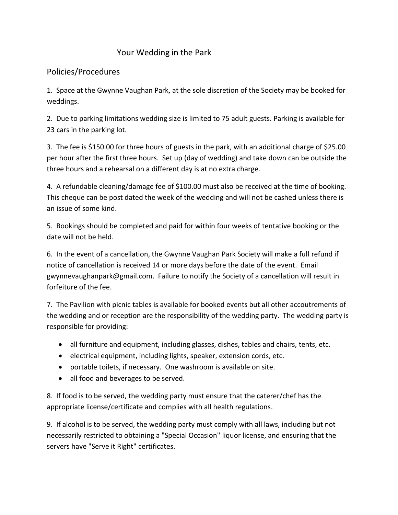## Your Wedding in the Park

## Policies/Procedures

1. Space at the Gwynne Vaughan Park, at the sole discretion of the Society may be booked for weddings.

2. Due to parking limitations wedding size is limited to 75 adult guests. Parking is available for 23 cars in the parking lot.

3. The fee is \$150.00 for three hours of guests in the park, with an additional charge of \$25.00 per hour after the first three hours. Set up (day of wedding) and take down can be outside the three hours and a rehearsal on a different day is at no extra charge.

4. A refundable cleaning/damage fee of \$100.00 must also be received at the time of booking. This cheque can be post dated the week of the wedding and will not be cashed unless there is an issue of some kind.

5. Bookings should be completed and paid for within four weeks of tentative booking or the date will not be held.

6. In the event of a cancellation, the Gwynne Vaughan Park Society will make a full refund if notice of cancellation is received 14 or more days before the date of the event. Email gwynnevaughanpark@gmail.com. Failure to notify the Society of a cancellation will result in forfeiture of the fee.

7. The Pavilion with picnic tables is available for booked events but all other accoutrements of the wedding and or reception are the responsibility of the wedding party. The wedding party is responsible for providing:

- all furniture and equipment, including glasses, dishes, tables and chairs, tents, etc.
- electrical equipment, including lights, speaker, extension cords, etc.
- portable toilets, if necessary. One washroom is available on site.
- all food and beverages to be served.

8. If food is to be served, the wedding party must ensure that the caterer/chef has the appropriate license/certificate and complies with all health regulations.

9. If alcohol is to be served, the wedding party must comply with all laws, including but not necessarily restricted to obtaining a "Special Occasion" liquor license, and ensuring that the servers have "Serve it Right" certificates.